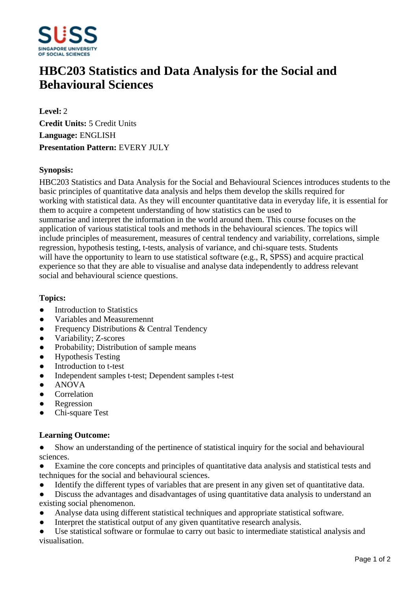

# **HBC203 Statistics and Data Analysis for the Social and Behavioural Sciences**

**Level:** 2 **Credit Units:** 5 Credit Units **Language:** ENGLISH **Presentation Pattern:** EVERY JULY

### **Synopsis:**

HBC203 Statistics and Data Analysis for the Social and Behavioural Sciences introduces students to the basic principles of quantitative data analysis and helps them develop the skills required for working with statistical data. As they will encounter quantitative data in everyday life, it is essential for them to acquire a competent understanding of how statistics can be used to summarise and interpret the information in the world around them. This course focuses on the application of various statistical tools and methods in the behavioural sciences. The topics will include principles of measurement, measures of central tendency and variability, correlations, simple regression, hypothesis testing, t-tests, analysis of variance, and chi-square tests. Students will have the opportunity to learn to use statistical software (e.g., R, SPSS) and acquire practical experience so that they are able to visualise and analyse data independently to address relevant social and behavioural science questions.

#### **Topics:**

- $\bullet$  Introduction to Statistics
- Variables and Measuremennt
- Frequency Distributions & Central Tendency
- Variability; Z-scores
- Probability; Distribution of sample means
- Hypothesis Testing
- Introduction to t-test
- Independent samples t-test; Dependent samples t-test
- ANOVA
- Correlation
- ƔRegression
- ƔChi-square Test

#### **Learning Outcome:**

- Show an understanding of the pertinence of statistical inquiry for the social and behavioural sciences.
- Examine the core concepts and principles of quantitative data analysis and statistical tests and techniques for the social and behavioural sciences.
- Identify the different types of variables that are present in any given set of quantitative data.
- Discuss the advantages and disadvantages of using quantitative data analysis to understand an existing social phenomenon.
- Analyse data using different statistical techniques and appropriate statistical software.
- Interpret the statistical output of any given quantitative research analysis.
- Use statistical software or formulae to carry out basic to intermediate statistical analysis and visualisation.